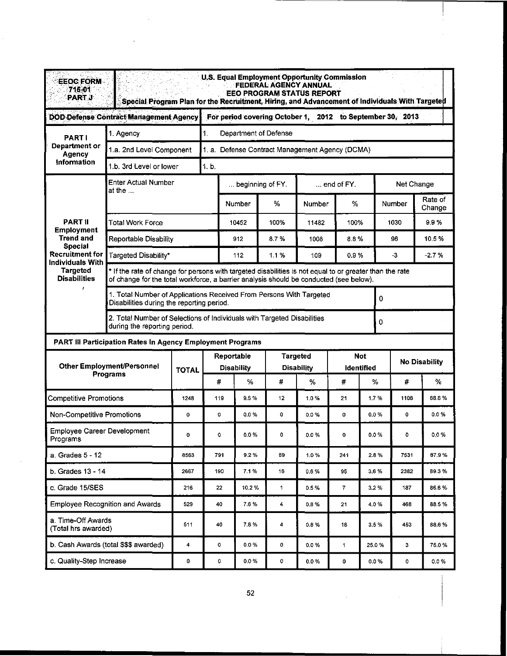| <b>EEOC FORM</b><br>715-01<br><b>PART J</b>                                                                                                                | Special Program Plan for the Recruitment, Hiring, and Advancement of Individuals With Targeted                                                                                                    |                                                 |              | U.S. Equal Employment Opportunity Commission<br><b>EEO PROGRAM STATUS REPORT</b> | FEDERAL AGENCY ANNUAL                |                    |                          |       |                      |                   |  |  |
|------------------------------------------------------------------------------------------------------------------------------------------------------------|---------------------------------------------------------------------------------------------------------------------------------------------------------------------------------------------------|-------------------------------------------------|--------------|----------------------------------------------------------------------------------|--------------------------------------|--------------------|--------------------------|-------|----------------------|-------------------|--|--|
| For period covering October 1, 2012 to September 30, 2013<br><b>DOD Defense Contract Management Agency</b>                                                 |                                                                                                                                                                                                   |                                                 |              |                                                                                  |                                      |                    |                          |       |                      |                   |  |  |
| <b>PART I</b><br>Department or<br><b>Agency</b><br>Information                                                                                             | 1 Agency                                                                                                                                                                                          | 1.<br>Department of Defense                     |              |                                                                                  |                                      |                    |                          |       |                      |                   |  |  |
|                                                                                                                                                            | 1.a. 2nd Level Component                                                                                                                                                                          | 1. a. Defense Contract Management Agency (DCMA) |              |                                                                                  |                                      |                    |                          |       |                      |                   |  |  |
|                                                                                                                                                            | 1.b. 3rd Level or lower<br>1. b.                                                                                                                                                                  |                                                 |              |                                                                                  |                                      |                    |                          |       |                      |                   |  |  |
| <b>PART II</b><br>Employment<br><b>Trend and</b><br><b>Special</b><br><b>Recruitment for</b><br>Individuals With<br><b>Targeted</b><br><b>Disabilities</b> | <b>Enter Actual Number</b><br>at the …                                                                                                                                                            |                                                 |              | beginning of FY.                                                                 |                                      | $\dots$ end of FY. |                          |       | Net Change           |                   |  |  |
|                                                                                                                                                            |                                                                                                                                                                                                   |                                                 |              | Number                                                                           | %                                    | Number             | $\%$                     |       | Number               | Rate of<br>Change |  |  |
|                                                                                                                                                            | Total Work Force                                                                                                                                                                                  |                                                 |              | 10452                                                                            | 100%                                 | 11482              | 100%                     |       | 1030                 | 9.9%              |  |  |
|                                                                                                                                                            | Reportable Disability                                                                                                                                                                             |                                                 |              | 912                                                                              | 8.7%                                 | 1008               | 8.8%                     |       | 96                   | 10.5%             |  |  |
|                                                                                                                                                            | Targeted Disability*                                                                                                                                                                              |                                                 |              | 112                                                                              | 11%                                  | 109                | 0.9%                     |       | -3                   | $-27%$            |  |  |
|                                                                                                                                                            | * If the rate of change for persons with targeted disabilities is not equal to or greater than the rate<br>of change for the total workforce, a barrier analysis should be conducted (see below). |                                                 |              |                                                                                  |                                      |                    |                          |       |                      |                   |  |  |
|                                                                                                                                                            | Disabilities during the reporting period.                                                                                                                                                         |                                                 |              | 1. Total Number of Applications Received From Persons With Targeted              |                                      |                    |                          |       | $\mathbf 0$          |                   |  |  |
|                                                                                                                                                            | 2. Total Number of Selections of Individuals with Targeted Disabilities<br>during the reporting period.                                                                                           |                                                 |              |                                                                                  |                                      |                    |                          | 0     |                      |                   |  |  |
| PART III Participation Rates In Agency Employment Programs                                                                                                 |                                                                                                                                                                                                   |                                                 |              |                                                                                  |                                      |                    |                          |       |                      |                   |  |  |
| Other Employment/Personnel<br>Programs                                                                                                                     |                                                                                                                                                                                                   |                                                 |              | Reportable<br><b>Disability</b>                                                  | <b>Targeted</b><br><b>Disability</b> |                    | <b>Not</b><br>Identified |       | <b>No Disability</b> |                   |  |  |
|                                                                                                                                                            |                                                                                                                                                                                                   | <b>TOTAL</b>                                    | $\#$         | $\%$                                                                             | #                                    | %                  | #                        | %     | #                    | %                 |  |  |
| <b>Competitive Promotions</b>                                                                                                                              |                                                                                                                                                                                                   | 1248                                            | 119          | 9.5%                                                                             | 12                                   | 1.0%               | 21                       | 1.7%  | 1108                 | 88.8%             |  |  |
| Non-Competitive Promotions                                                                                                                                 |                                                                                                                                                                                                   | 0                                               | $\mathbf{o}$ | 0.0%                                                                             | o                                    | 0.0%               | 0                        | 0.0 % | 0                    | 0.0%              |  |  |
| <b>Employee Career Development</b><br>Programs                                                                                                             |                                                                                                                                                                                                   | O                                               | ٥            | 0.0 %                                                                            | 0                                    | 00%                | 0                        | 0.0%  | ٥                    | 0.0%              |  |  |
| a. Grades 5 - 12                                                                                                                                           |                                                                                                                                                                                                   | 8563                                            | 791          | 9.2%                                                                             | 89                                   | 1.0%               | 241                      | 2.8%  | 7531                 | 87.9%             |  |  |
| b. Grades 13 - 14                                                                                                                                          |                                                                                                                                                                                                   | 2667                                            | 190          | 7.1%                                                                             | 16                                   | 0.6%               | 95                       | 3.6 % | 2382                 | 89.3%             |  |  |
| c. Grade 15/SES                                                                                                                                            |                                                                                                                                                                                                   | 216                                             | 22           | 10.2%                                                                            | $\mathbf{1}$                         | 0.5%               | 7                        | 3.2%  | 187                  | 86.6%             |  |  |
| <b>Employee Recognition and Awards</b>                                                                                                                     |                                                                                                                                                                                                   | 529                                             | 40           | 7.6%                                                                             | 4                                    | 0.8%               | 21                       | 4.0%  | 468                  | 88.5%             |  |  |
| a. Time-Off Awards<br>(Total hrs awarded)                                                                                                                  |                                                                                                                                                                                                   | 511                                             | 40           | 7.8%                                                                             | 4                                    | 0.8%               | 18                       | 3.5%  | 453                  | 88.6%             |  |  |
| b. Cash Awards (total \$\$\$ awarded)                                                                                                                      |                                                                                                                                                                                                   |                                                 | $\mathbf 0$  | 0.0%                                                                             | 0                                    | $0.0 \%$           | 1                        | 25.0% | з                    | 75.0%             |  |  |
| c. Quality-Step Increase                                                                                                                                   | 0                                                                                                                                                                                                 | 0                                               | 0.0%         | 0                                                                                | 0.0 %                                | 0                  | 0.0%                     | 0     | 0.0%                 |                   |  |  |